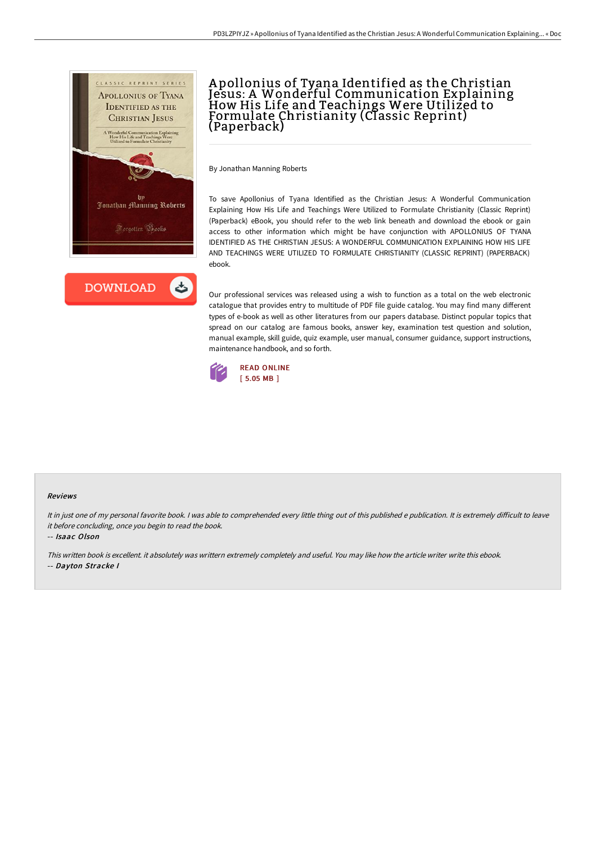



# A pollonius of Tyana Identified as the Christian Jesus: A Wonderful Communication Explaining<br>How His Life and Teachings Were Utilized to Formulate Christianity (Classic Reprint) (Paperback)

By Jonathan Manning Roberts

To save Apollonius of Tyana Identified as the Christian Jesus: A Wonderful Communication Explaining How His Life and Teachings Were Utilized to Formulate Christianity (Classic Reprint) (Paperback) eBook, you should refer to the web link beneath and download the ebook or gain access to other information which might be have conjunction with APOLLONIUS OF TYANA IDENTIFIED AS THE CHRISTIAN JESUS: A WONDERFUL COMMUNICATION EXPLAINING HOW HIS LIFE AND TEACHINGS WERE UTILIZED TO FORMULATE CHRISTIANITY (CLASSIC REPRINT) (PAPERBACK) ebook.

Our professional services was released using a wish to function as a total on the web electronic catalogue that provides entry to multitude of PDF file guide catalog. You may find many different types of e-book as well as other literatures from our papers database. Distinct popular topics that spread on our catalog are famous books, answer key, examination test question and solution, manual example, skill guide, quiz example, user manual, consumer guidance, support instructions, maintenance handbook, and so forth.



#### Reviews

It in just one of my personal favorite book. I was able to comprehended every little thing out of this published e publication. It is extremely difficult to leave it before concluding, once you begin to read the book.

-- Isaac Olson

This written book is excellent. it absolutely was writtern extremely completely and useful. You may like how the article writer write this ebook. -- Dayton Stracke I